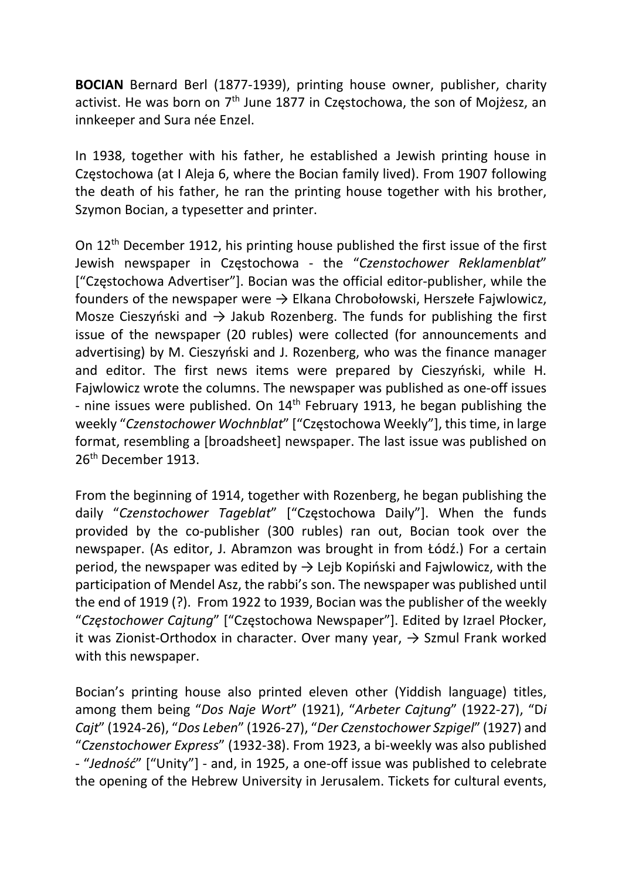BOCIAN Bernard Berl (1877-1939), printing house owner, publisher, charity activist. He was born on  $7<sup>th</sup>$  June 1877 in Częstochowa, the son of Mojżesz, an innkeeper and Sura née Enzel.

In 1938, together with his father, he established a Jewish printing house in Częstochowa (at I Aleja 6, where the Bocian family lived). From 1907 following the death of his father, he ran the printing house together with his brother, Szymon Bocian, a typesetter and printer.

On 12th December 1912, his printing house published the first issue of the first Jewish newspaper in Częstochowa - the "Czenstochower Reklamenblat" ["Częstochowa Advertiser"]. Bocian was the official editor-publisher, while the founders of the newspaper were  $\rightarrow$  Elkana Chrobołowski, Herszełe Fajwlowicz, Mosze Cieszyński and  $\rightarrow$  Jakub Rozenberg. The funds for publishing the first issue of the newspaper (20 rubles) were collected (for announcements and advertising) by M. Cieszyński and J. Rozenberg, who was the finance manager and editor. The first news items were prepared by Cieszyński, while H. Fajwlowicz wrote the columns. The newspaper was published as one-off issues - nine issues were published. On  $14<sup>th</sup>$  February 1913, he began publishing the weekly "Czenstochower Wochnblat" ["Częstochowa Weekly"], this time, in large format, resembling a [broadsheet] newspaper. The last issue was published on 26<sup>th</sup> December 1913.

From the beginning of 1914, together with Rozenberg, he began publishing the daily "Czenstochower Tageblat" ["Częstochowa Daily"]. When the funds provided by the co-publisher (300 rubles) ran out, Bocian took over the newspaper. (As editor, J. Abramzon was brought in from Łódź.) For a certain period, the newspaper was edited by  $\rightarrow$  Lejb Kopiński and Fajwlowicz, with the participation of Mendel Asz, the rabbi's son. The newspaper was published until the end of 1919 (?). From 1922 to 1939, Bocian was the publisher of the weekly "Częstochower Cajtung" ["Częstochowa Newspaper"]. Edited by Izrael Płocker, it was Zionist-Orthodox in character. Over many year,  $\rightarrow$  Szmul Frank worked with this newspaper.

Bocian's printing house also printed eleven other (Yiddish language) titles, among them being "Dos Naje Wort" (1921), "Arbeter Cajtung" (1922-27), "Di Cajt" (1924-26), "Dos Leben" (1926-27), "Der Czenstochower Szpigel" (1927) and "Czenstochower Express" (1932-38). From 1923, a bi-weekly was also published - "Jedność" ["Unity"] - and, in 1925, a one-off issue was published to celebrate the opening of the Hebrew University in Jerusalem. Tickets for cultural events,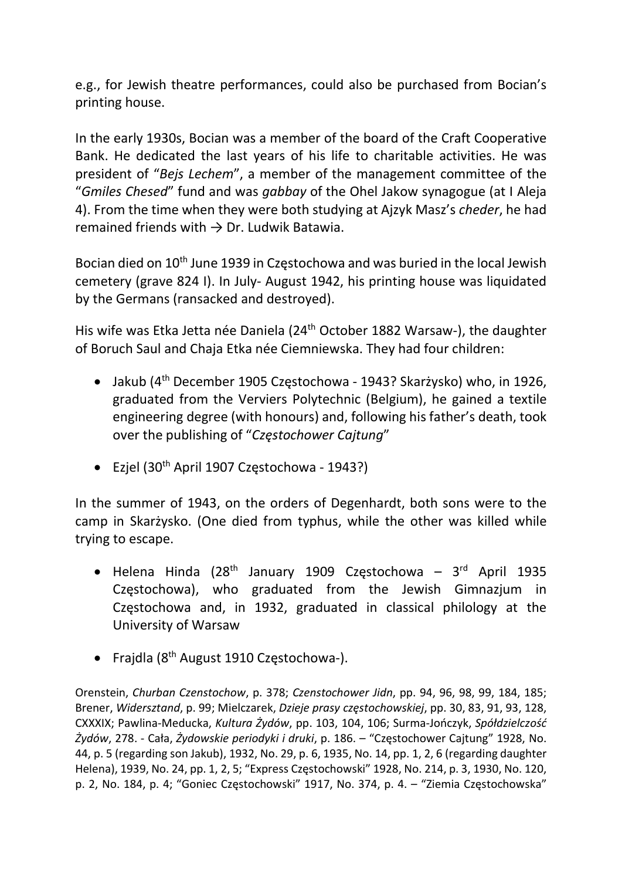e.g., for Jewish theatre performances, could also be purchased from Bocian's printing house.

In the early 1930s, Bocian was a member of the board of the Craft Cooperative Bank. He dedicated the last years of his life to charitable activities. He was president of "Bejs Lechem", a member of the management committee of the "Gmiles Chesed" fund and was gabbay of the Ohel Jakow synagogue (at I Aleja 4). From the time when they were both studying at Ajzyk Masz's cheder, he had remained friends with  $\rightarrow$  Dr. Ludwik Batawia.

Bocian died on 10th June 1939 in Częstochowa and was buried in the local Jewish cemetery (grave 824 I). In July- August 1942, his printing house was liquidated by the Germans (ransacked and destroyed).

His wife was Etka Jetta née Daniela (24th October 1882 Warsaw-), the daughter of Boruch Saul and Chaja Etka née Ciemniewska. They had four children:

- Jakub (4th December 1905 Częstochowa 1943? Skarżysko) who, in 1926, graduated from the Verviers Polytechnic (Belgium), he gained a textile engineering degree (with honours) and, following his father's death, took over the publishing of "Częstochower Cajtung"
- Ezjel (30th April 1907 Częstochowa 1943?)

In the summer of 1943, on the orders of Degenhardt, both sons were to the camp in Skarżysko. (One died from typhus, while the other was killed while trying to escape.

- $\bullet$  Helena Hinda (28<sup>th</sup> January 1909 Częstochowa 3<sup>rd</sup> April 1935 Częstochowa), who graduated from the Jewish Gimnazjum in Częstochowa and, in 1932, graduated in classical philology at the University of Warsaw
- Frajdla (8<sup>th</sup> August 1910 Częstochowa-).

Orenstein, Churban Czenstochow, p. 378; Czenstochower Jidn, pp. 94, 96, 98, 99, 184, 185; Brener, Widersztand, p. 99; Mielczarek, Dzieje prasy częstochowskiej, pp. 30, 83, 91, 93, 128, CXXXIX; Pawlina-Meducka, Kultura Żydów, pp. 103, 104, 106; Surma-Jończyk, Spółdzielczość Żydów, 278. - Cała, Żydowskie periodyki i druki, p. 186. – "Częstochower Cajtung" 1928, No. 44, p. 5 (regarding son Jakub), 1932, No. 29, p. 6, 1935, No. 14, pp. 1, 2, 6 (regarding daughter Helena), 1939, No. 24, pp. 1, 2, 5; "Express Częstochowski" 1928, No. 214, p. 3, 1930, No. 120, p. 2, No. 184, p. 4; "Goniec Częstochowski" 1917, No. 374, p. 4. – "Ziemia Częstochowska"